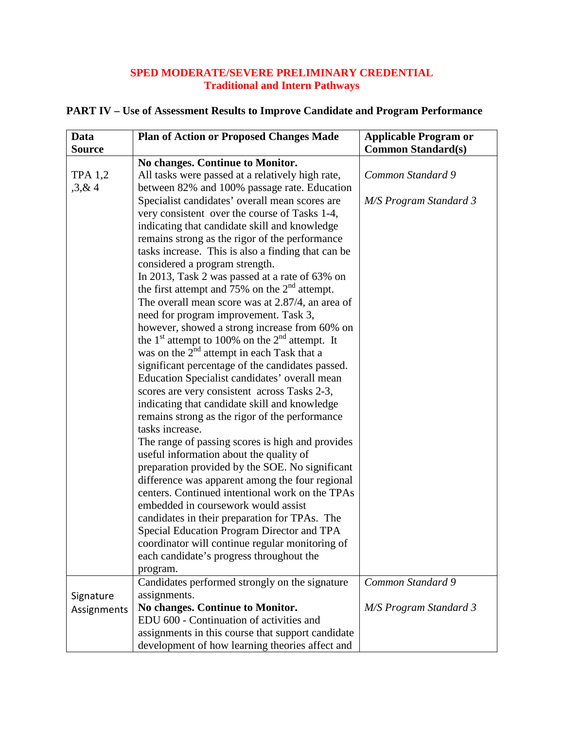## **SPED MODERATE/SEVERE PRELIMINARY CREDENTIAL Traditional and Intern Pathways**

| Data           | <b>Plan of Action or Proposed Changes Made</b>                                                     | <b>Applicable Program or</b> |
|----------------|----------------------------------------------------------------------------------------------------|------------------------------|
| <b>Source</b>  |                                                                                                    | <b>Common Standard(s)</b>    |
|                | No changes. Continue to Monitor.                                                                   |                              |
| <b>TPA 1,2</b> | All tasks were passed at a relatively high rate,                                                   | Common Standard 9            |
| , 3, 8, 4      | between 82% and 100% passage rate. Education                                                       |                              |
|                | Specialist candidates' overall mean scores are                                                     | M/S Program Standard 3       |
|                | very consistent over the course of Tasks 1-4,                                                      |                              |
|                | indicating that candidate skill and knowledge                                                      |                              |
|                | remains strong as the rigor of the performance                                                     |                              |
|                | tasks increase. This is also a finding that can be                                                 |                              |
|                | considered a program strength.                                                                     |                              |
|                | In 2013, Task 2 was passed at a rate of 63% on                                                     |                              |
|                | the first attempt and 75% on the $2nd$ attempt.                                                    |                              |
|                | The overall mean score was at 2.87/4, an area of                                                   |                              |
|                | need for program improvement. Task 3,                                                              |                              |
|                | however, showed a strong increase from 60% on                                                      |                              |
|                | the 1 <sup>st</sup> attempt to 100% on the $2nd$ attempt. It                                       |                              |
|                | was on the $2^{nd}$ attempt in each Task that a                                                    |                              |
|                | significant percentage of the candidates passed.                                                   |                              |
|                | Education Specialist candidates' overall mean                                                      |                              |
|                | scores are very consistent across Tasks 2-3,                                                       |                              |
|                | indicating that candidate skill and knowledge                                                      |                              |
|                | remains strong as the rigor of the performance                                                     |                              |
|                | tasks increase.                                                                                    |                              |
|                | The range of passing scores is high and provides                                                   |                              |
|                | useful information about the quality of                                                            |                              |
|                | preparation provided by the SOE. No significant                                                    |                              |
|                | difference was apparent among the four regional<br>centers. Continued intentional work on the TPAs |                              |
|                | embedded in coursework would assist                                                                |                              |
|                | candidates in their preparation for TPAs. The                                                      |                              |
|                | Special Education Program Director and TPA                                                         |                              |
|                | coordinator will continue regular monitoring of                                                    |                              |
|                | each candidate's progress throughout the                                                           |                              |
|                | program.                                                                                           |                              |
|                | Candidates performed strongly on the signature                                                     | Common Standard 9            |
| Signature      | assignments.                                                                                       |                              |
| Assignments    | No changes. Continue to Monitor.                                                                   | M/S Program Standard 3       |
|                | EDU 600 - Continuation of activities and                                                           |                              |
|                | assignments in this course that support candidate                                                  |                              |
|                | development of how learning theories affect and                                                    |                              |

## **PART IV – Use of Assessment Results to Improve Candidate and Program Performance**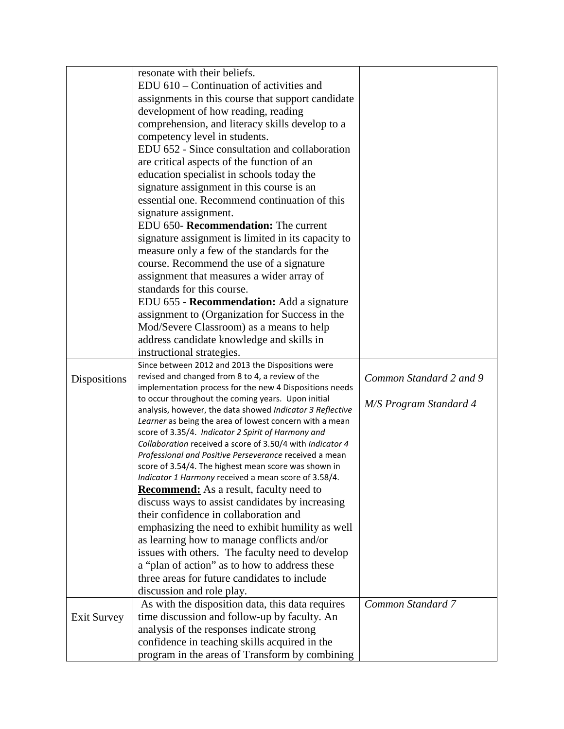|                     | resonate with their beliefs.                                                                                         |                         |
|---------------------|----------------------------------------------------------------------------------------------------------------------|-------------------------|
|                     | EDU 610 – Continuation of activities and                                                                             |                         |
|                     | assignments in this course that support candidate                                                                    |                         |
|                     | development of how reading, reading                                                                                  |                         |
|                     | comprehension, and literacy skills develop to a                                                                      |                         |
|                     | competency level in students.                                                                                        |                         |
|                     | EDU 652 - Since consultation and collaboration                                                                       |                         |
|                     | are critical aspects of the function of an                                                                           |                         |
|                     | education specialist in schools today the                                                                            |                         |
|                     | signature assignment in this course is an                                                                            |                         |
|                     | essential one. Recommend continuation of this                                                                        |                         |
|                     | signature assignment.                                                                                                |                         |
|                     | EDU 650- Recommendation: The current                                                                                 |                         |
|                     | signature assignment is limited in its capacity to                                                                   |                         |
|                     | measure only a few of the standards for the                                                                          |                         |
|                     | course. Recommend the use of a signature                                                                             |                         |
|                     | assignment that measures a wider array of                                                                            |                         |
|                     | standards for this course.                                                                                           |                         |
|                     | EDU 655 - Recommendation: Add a signature                                                                            |                         |
|                     | assignment to (Organization for Success in the                                                                       |                         |
|                     | Mod/Severe Classroom) as a means to help                                                                             |                         |
|                     | address candidate knowledge and skills in                                                                            |                         |
|                     | instructional strategies.                                                                                            |                         |
|                     | Since between 2012 and 2013 the Dispositions were                                                                    |                         |
| <b>Dispositions</b> | revised and changed from 8 to 4, a review of the                                                                     | Common Standard 2 and 9 |
|                     | implementation process for the new 4 Dispositions needs                                                              |                         |
|                     | to occur throughout the coming years. Upon initial                                                                   | M/S Program Standard 4  |
|                     | analysis, however, the data showed Indicator 3 Reflective<br>Learner as being the area of lowest concern with a mean |                         |
|                     | score of 3.35/4. Indicator 2 Spirit of Harmony and                                                                   |                         |
|                     | Collaboration received a score of 3.50/4 with Indicator 4                                                            |                         |
|                     | Professional and Positive Perseverance received a mean                                                               |                         |
|                     | score of 3.54/4. The highest mean score was shown in                                                                 |                         |
|                     | Indicator 1 Harmony received a mean score of 3.58/4.                                                                 |                         |
|                     | <b>Recommend:</b> As a result, faculty need to                                                                       |                         |
|                     | discuss ways to assist candidates by increasing                                                                      |                         |
|                     | their confidence in collaboration and                                                                                |                         |
|                     | emphasizing the need to exhibit humility as well                                                                     |                         |
|                     | as learning how to manage conflicts and/or                                                                           |                         |
|                     | issues with others. The faculty need to develop                                                                      |                         |
|                     | a "plan of action" as to how to address these                                                                        |                         |
|                     | three areas for future candidates to include                                                                         |                         |
|                     | discussion and role play.                                                                                            |                         |
|                     | As with the disposition data, this data requires                                                                     | Common Standard 7       |
| <b>Exit Survey</b>  | time discussion and follow-up by faculty. An                                                                         |                         |
|                     | analysis of the responses indicate strong                                                                            |                         |
|                     | confidence in teaching skills acquired in the                                                                        |                         |
|                     | program in the areas of Transform by combining                                                                       |                         |